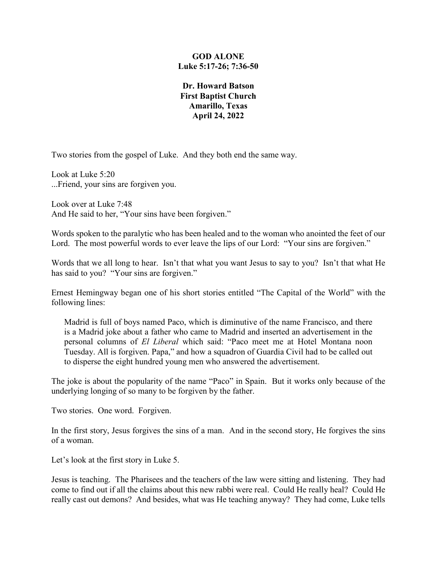# **GOD ALONE Luke 5:17-26; 7:36-50**

**Dr. Howard Batson First Baptist Church Amarillo, Texas April 24, 2022**

Two stories from the gospel of Luke. And they both end the same way.

Look at Luke 5:20 ...Friend, your sins are forgiven you.

Look over at Luke 7:48 And He said to her, "Your sins have been forgiven."

Words spoken to the paralytic who has been healed and to the woman who anointed the feet of our Lord. The most powerful words to ever leave the lips of our Lord: "Your sins are forgiven."

Words that we all long to hear. Isn't that what you want Jesus to say to you? Isn't that what He has said to you? "Your sins are forgiven."

Ernest Hemingway began one of his short stories entitled "The Capital of the World" with the following lines:

Madrid is full of boys named Paco, which is diminutive of the name Francisco, and there is a Madrid joke about a father who came to Madrid and inserted an advertisement in the personal columns of *El Liberal* which said: "Paco meet me at Hotel Montana noon Tuesday. All is forgiven. Papa," and how a squadron of Guardia Civil had to be called out to disperse the eight hundred young men who answered the advertisement.

The joke is about the popularity of the name "Paco" in Spain. But it works only because of the underlying longing of so many to be forgiven by the father.

Two stories. One word. Forgiven.

In the first story, Jesus forgives the sins of a man. And in the second story, He forgives the sins of a woman.

Let's look at the first story in Luke 5.

Jesus is teaching. The Pharisees and the teachers of the law were sitting and listening. They had come to find out if all the claims about this new rabbi were real. Could He really heal? Could He really cast out demons? And besides, what was He teaching anyway? They had come, Luke tells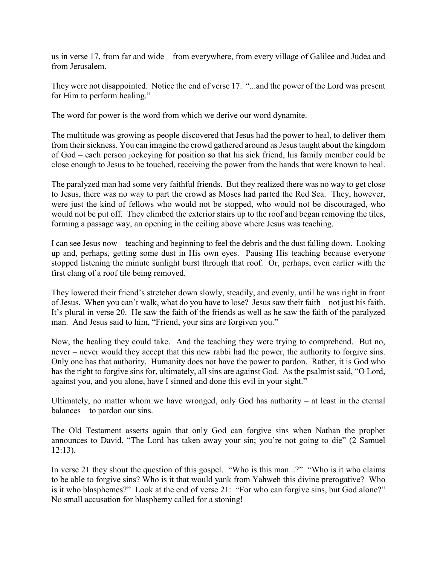us in verse 17, from far and wide – from everywhere, from every village of Galilee and Judea and from Jerusalem.

They were not disappointed. Notice the end of verse 17. "...and the power of the Lord was present for Him to perform healing."

The word for power is the word from which we derive our word dynamite.

The multitude was growing as people discovered that Jesus had the power to heal, to deliver them from their sickness. You can imagine the crowd gathered around as Jesus taught about the kingdom of God – each person jockeying for position so that his sick friend, his family member could be close enough to Jesus to be touched, receiving the power from the hands that were known to heal.

The paralyzed man had some very faithful friends. But they realized there was no way to get close to Jesus, there was no way to part the crowd as Moses had parted the Red Sea. They, however, were just the kind of fellows who would not be stopped, who would not be discouraged, who would not be put off. They climbed the exterior stairs up to the roof and began removing the tiles, forming a passage way, an opening in the ceiling above where Jesus was teaching.

I can see Jesus now – teaching and beginning to feel the debris and the dust falling down. Looking up and, perhaps, getting some dust in His own eyes. Pausing His teaching because everyone stopped listening the minute sunlight burst through that roof. Or, perhaps, even earlier with the first clang of a roof tile being removed.

They lowered their friend's stretcher down slowly, steadily, and evenly, until he was right in front of Jesus. When you can't walk, what do you have to lose? Jesus saw their faith – not just his faith. It's plural in verse 20. He saw the faith of the friends as well as he saw the faith of the paralyzed man. And Jesus said to him, "Friend, your sins are forgiven you."

Now, the healing they could take. And the teaching they were trying to comprehend. But no, never – never would they accept that this new rabbi had the power, the authority to forgive sins. Only one has that authority. Humanity does not have the power to pardon. Rather, it is God who has the right to forgive sins for, ultimately, all sins are against God. As the psalmist said, "O Lord, against you, and you alone, have I sinned and done this evil in your sight."

Ultimately, no matter whom we have wronged, only God has authority  $-$  at least in the eternal balances – to pardon our sins.

The Old Testament asserts again that only God can forgive sins when Nathan the prophet announces to David, "The Lord has taken away your sin; you're not going to die" (2 Samuel 12:13).

In verse 21 they shout the question of this gospel. "Who is this man...?" "Who is it who claims to be able to forgive sins? Who is it that would yank from Yahweh this divine prerogative? Who is it who blasphemes?" Look at the end of verse 21: "For who can forgive sins, but God alone?" No small accusation for blasphemy called for a stoning!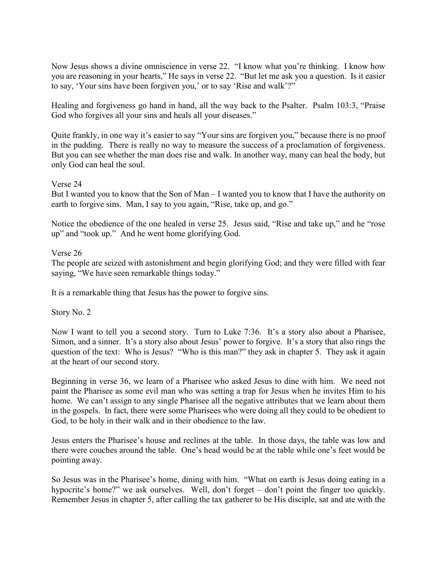Now Jesus shows a divine omniscience in verse 22. "I know what you're thinking. I know how you are reasoning in your hearts," He says in verse 22. "But let me ask you a question. Is it easier to say, 'Your sins have been forgiven you,' or to say 'Rise and walk'?"

Healing and forgiveness go hand in hand, all the way back to the Psalter. Psalm 103:3, "Praise God who forgives all your sins and heals all your diseases."

Quite frankly, in one way it's easier to say "Your sins are forgiven you," because there is no proof in the pudding. There is really no way to measure the success of a proclamation of forgiveness. But you can see whether the man does rise and walk. In another way, many can heal the body, but only God can heal the soul.

# Verse 24

But I wanted you to know that the Son of Man – I wanted you to know that I have the authority on earth to forgive sins. Man, I say to you again, "Rise, take up, and go."

Notice the obedience of the one healed in verse 25. Jesus said, "Rise and take up," and he "rose up" and "took up." And he went home glorifying God.

# Verse 26

The people are seized with astonishment and begin glorifying God; and they were filled with fear saying, "We have seen remarkable things today."

It is a remarkable thing that Jesus has the power to forgive sins.

Story No. 2

Now I want to tell you a second story. Turn to Luke 7:36. It's a story also about a Pharisee, Simon, and a sinner. It's a story also about Jesus' power to forgive. It's a story that also rings the question of the text: Who is Jesus? "Who is this man?" they ask in chapter 5. They ask it again at the heart of our second story.

Beginning in verse 36, we learn of a Pharisee who asked Jesus to dine with him. We need not paint the Pharisee as some evil man who was setting a trap for Jesus when he invites Him to his home. We can't assign to any single Pharisee all the negative attributes that we learn about them in the gospels. In fact, there were some Pharisees who were doing all they could to be obedient to God, to be holy in their walk and in their obedience to the law.

Jesus enters the Pharisee's house and reclines at the table. In those days, the table was low and there were couches around the table. One's head would be at the table while one's feet would be pointing away.

So Jesus was in the Pharisee's home, dining with him. "What on earth is Jesus doing eating in a hypocrite's home?" we ask ourselves. Well, don't forget – don't point the finger too quickly. Remember Jesus in chapter 5, after calling the tax gatherer to be His disciple, sat and ate with the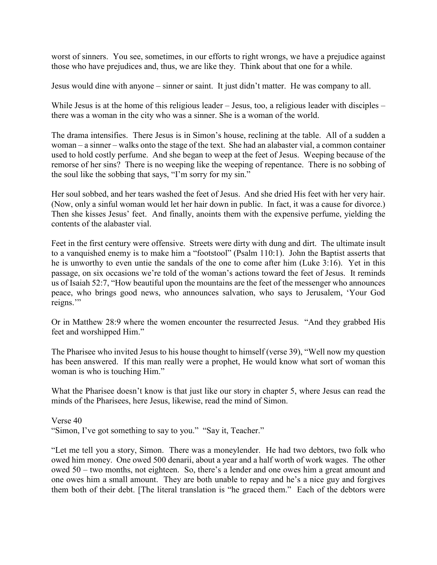worst of sinners. You see, sometimes, in our efforts to right wrongs, we have a prejudice against those who have prejudices and, thus, we are like they. Think about that one for a while.

Jesus would dine with anyone – sinner or saint. It just didn't matter. He was company to all.

While Jesus is at the home of this religious leader – Jesus, too, a religious leader with disciples – there was a woman in the city who was a sinner. She is a woman of the world.

The drama intensifies. There Jesus is in Simon's house, reclining at the table. All of a sudden a woman – a sinner – walks onto the stage of the text. She had an alabaster vial, a common container used to hold costly perfume. And she began to weep at the feet of Jesus. Weeping because of the remorse of her sins? There is no weeping like the weeping of repentance. There is no sobbing of the soul like the sobbing that says, "I'm sorry for my sin."

Her soul sobbed, and her tears washed the feet of Jesus. And she dried His feet with her very hair. (Now, only a sinful woman would let her hair down in public. In fact, it was a cause for divorce.) Then she kisses Jesus' feet. And finally, anoints them with the expensive perfume, yielding the contents of the alabaster vial.

Feet in the first century were offensive. Streets were dirty with dung and dirt. The ultimate insult to a vanquished enemy is to make him a "footstool" (Psalm 110:1). John the Baptist asserts that he is unworthy to even untie the sandals of the one to come after him (Luke 3:16). Yet in this passage, on six occasions we're told of the woman's actions toward the feet of Jesus. It reminds us of Isaiah 52:7, "How beautiful upon the mountains are the feet of the messenger who announces peace, who brings good news, who announces salvation, who says to Jerusalem, 'Your God reigns."

Or in Matthew 28:9 where the women encounter the resurrected Jesus. "And they grabbed His feet and worshipped Him."

The Pharisee who invited Jesus to his house thought to himself (verse 39), "Well now my question has been answered. If this man really were a prophet, He would know what sort of woman this woman is who is touching Him."

What the Pharisee doesn't know is that just like our story in chapter 5, where Jesus can read the minds of the Pharisees, here Jesus, likewise, read the mind of Simon.

Verse 40 "Simon, I've got something to say to you." "Say it, Teacher."

"Let me tell you a story, Simon. There was a moneylender. He had two debtors, two folk who owed him money. One owed 500 denarii, about a year and a half worth of work wages. The other owed 50 – two months, not eighteen. So, there's a lender and one owes him a great amount and one owes him a small amount. They are both unable to repay and he's a nice guy and forgives them both of their debt. [The literal translation is "he graced them." Each of the debtors were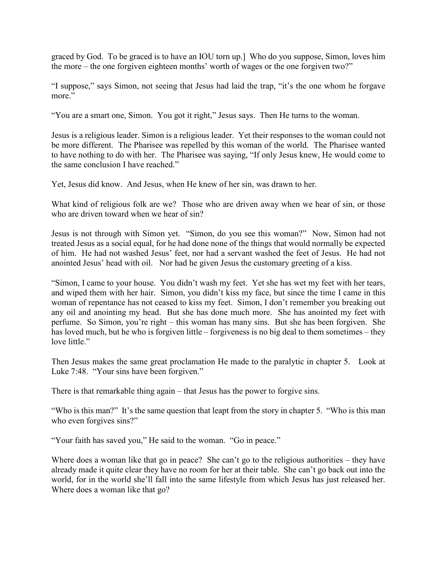graced by God. To be graced is to have an IOU torn up.] Who do you suppose, Simon, loves him the more – the one forgiven eighteen months' worth of wages or the one forgiven two?"

"I suppose," says Simon, not seeing that Jesus had laid the trap, "it's the one whom he forgave more."

"You are a smart one, Simon. You got it right," Jesus says. Then He turns to the woman.

Jesus is a religious leader. Simon is a religious leader. Yet their responses to the woman could not be more different. The Pharisee was repelled by this woman of the world. The Pharisee wanted to have nothing to do with her. The Pharisee was saying, "If only Jesus knew, He would come to the same conclusion I have reached."

Yet, Jesus did know. And Jesus, when He knew of her sin, was drawn to her.

What kind of religious folk are we? Those who are driven away when we hear of sin, or those who are driven toward when we hear of sin?

Jesus is not through with Simon yet. "Simon, do you see this woman?" Now, Simon had not treated Jesus as a social equal, for he had done none of the things that would normally be expected of him. He had not washed Jesus' feet, nor had a servant washed the feet of Jesus. He had not anointed Jesus' head with oil. Nor had he given Jesus the customary greeting of a kiss.

"Simon, I came to your house. You didn't wash my feet. Yet she has wet my feet with her tears, and wiped them with her hair. Simon, you didn't kiss my face, but since the time I came in this woman of repentance has not ceased to kiss my feet. Simon, I don't remember you breaking out any oil and anointing my head. But she has done much more. She has anointed my feet with perfume. So Simon, you're right – this woman has many sins. But she has been forgiven. She has loved much, but he who is forgiven little – forgiveness is no big deal to them sometimes – they love little."

Then Jesus makes the same great proclamation He made to the paralytic in chapter 5. Look at Luke 7:48. "Your sins have been forgiven."

There is that remarkable thing again – that Jesus has the power to forgive sins.

"Who is this man?" It's the same question that leapt from the story in chapter 5. "Who is this man who even forgives sins?"

"Your faith has saved you," He said to the woman. "Go in peace."

Where does a woman like that go in peace? She can't go to the religious authorities – they have already made it quite clear they have no room for her at their table. She can't go back out into the world, for in the world she'll fall into the same lifestyle from which Jesus has just released her. Where does a woman like that go?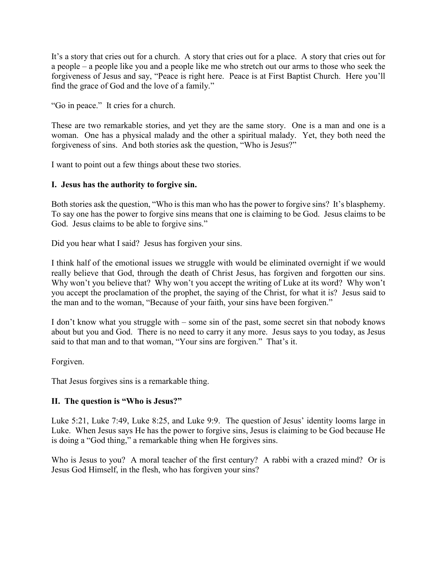It's a story that cries out for a church. A story that cries out for a place. A story that cries out for a people – a people like you and a people like me who stretch out our arms to those who seek the forgiveness of Jesus and say, "Peace is right here. Peace is at First Baptist Church. Here you'll find the grace of God and the love of a family."

"Go in peace." It cries for a church.

These are two remarkable stories, and yet they are the same story. One is a man and one is a woman. One has a physical malady and the other a spiritual malady. Yet, they both need the forgiveness of sins. And both stories ask the question, "Who is Jesus?"

I want to point out a few things about these two stories.

# **I. Jesus has the authority to forgive sin.**

Both stories ask the question, "Who is this man who has the power to forgive sins? It's blasphemy. To say one has the power to forgive sins means that one is claiming to be God. Jesus claims to be God. Jesus claims to be able to forgive sins."

Did you hear what I said? Jesus has forgiven your sins.

I think half of the emotional issues we struggle with would be eliminated overnight if we would really believe that God, through the death of Christ Jesus, has forgiven and forgotten our sins. Why won't you believe that? Why won't you accept the writing of Luke at its word? Why won't you accept the proclamation of the prophet, the saying of the Christ, for what it is? Jesus said to the man and to the woman, "Because of your faith, your sins have been forgiven."

I don't know what you struggle with – some sin of the past, some secret sin that nobody knows about but you and God. There is no need to carry it any more. Jesus says to you today, as Jesus said to that man and to that woman, "Your sins are forgiven." That's it.

Forgiven.

That Jesus forgives sins is a remarkable thing.

# **II. The question is "Who is Jesus?"**

Luke 5:21, Luke 7:49, Luke 8:25, and Luke 9:9. The question of Jesus' identity looms large in Luke. When Jesus says He has the power to forgive sins, Jesus is claiming to be God because He is doing a "God thing," a remarkable thing when He forgives sins.

Who is Jesus to you? A moral teacher of the first century? A rabbi with a crazed mind? Or is Jesus God Himself, in the flesh, who has forgiven your sins?